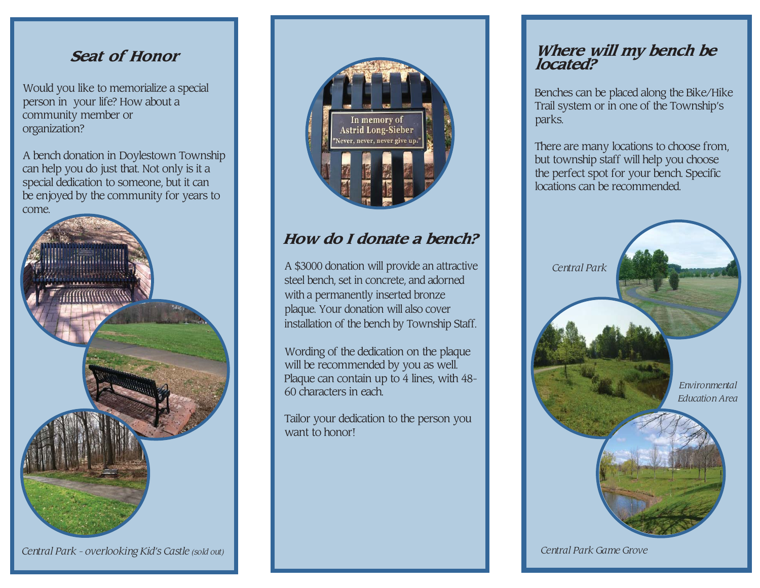### **Seat of Honor**

Would you like to memorialize a special person in your life? How about a community member or organization?

A bench donation in Doylestown Township can help you do just that. Not only is it a special dedication to someone, but it can be enjoyed by the community for years to come.



*Central Park - overlooking Kid's Castle (sold out)*



## **How do I donate a bench?**

A \$3000 donation will provide an attractive steel bench, set in concrete, and adornedwith a permanently inserted bronze plaque. Your donation will also coverinstallation of the bench by Township Staff.

Wording of the dedication on the plaquewill be recommended by you as well. Plaque can contain up to 4 lines, with 48-60 characters in each.

Tailor your dedication to the person youwant to honor!

# **Where will my bench be located?**

Benches can be placed along the Bike/Hike Trail system or in one of the Township's parks.

There are many locations to choose from, but township staff will help you choose the perfect spot for your bench. Specific locations can be recommended.